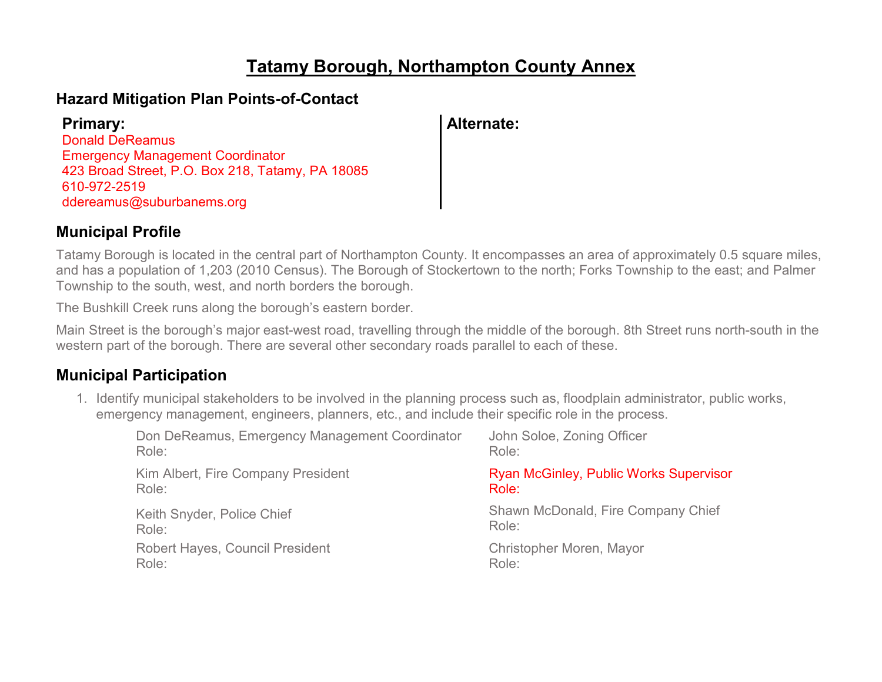# **Tatamy Borough, Northampton County Annex**

## **Hazard Mitigation Plan Points-of-Contact**

| <b>Primary:</b>                                  | <b>Alternate:</b> |
|--------------------------------------------------|-------------------|
| <b>Donald DeReamus</b>                           |                   |
| <b>Emergency Management Coordinator</b>          |                   |
| 423 Broad Street, P.O. Box 218, Tatamy, PA 18085 |                   |
| 610-972-2519                                     |                   |
| ddereamus@suburbanems.org                        |                   |

## **Municipal Profile**

Tatamy Borough is located in the central part of Northampton County. It encompasses an area of approximately 0.5 square miles, and has a population of 1,203 (2010 Census). The Borough of Stockertown to the north; Forks Township to the east; and Palmer Township to the south, west, and north borders the borough.

The Bushkill Creek runs along the borough's eastern border.

Main Street is the borough's major east-west road, travelling through the middle of the borough. 8th Street runs north-south in the western part of the borough. There are several other secondary roads parallel to each of these.

## **Municipal Participation**

1. Identify municipal stakeholders to be involved in the planning process such as, floodplain administrator, public works, emergency management, engineers, planners, etc., and include their specific role in the process.

| Don DeReamus, Emergency Management Coordinator | John Soloe, Zoning Officer                    |
|------------------------------------------------|-----------------------------------------------|
| Role:                                          | Role:                                         |
| Kim Albert, Fire Company President             | <b>Ryan McGinley, Public Works Supervisor</b> |
| Role:                                          | Role:                                         |
| Keith Snyder, Police Chief                     | Shawn McDonald, Fire Company Chief            |
| Role:                                          | Role:                                         |
| <b>Robert Hayes, Council President</b>         | Christopher Moren, Mayor                      |
| Role:                                          | Role:                                         |
|                                                |                                               |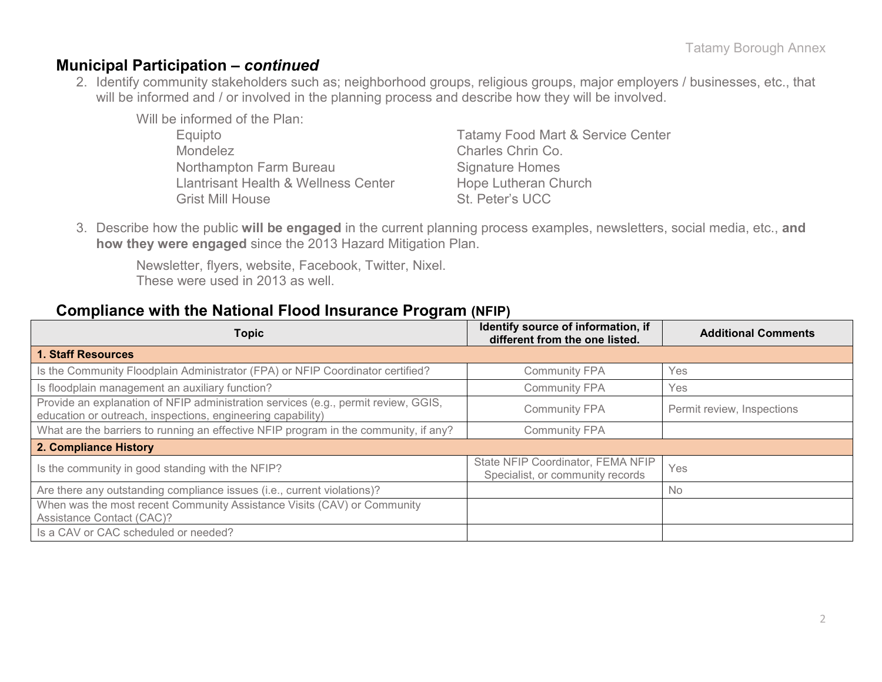## **Municipal Participation –** *continued*

2. Identify community stakeholders such as; neighborhood groups, religious groups, major employers / businesses, etc., that will be informed and / or involved in the planning process and describe how they will be involved.

Will be informed of the Plan: Mondelez Charles Chrin Co. Northampton Farm Bureau Signature Homes Llantrisant Health & Wellness Center Hope Lutheran Church

Equipto Tatamy Food Mart & Service Center Grist Mill House St. Peter's UCC

3. Describe how the public **will be engaged** in the current planning process examples, newsletters, social media, etc., **and how they were engaged** since the 2013 Hazard Mitigation Plan.

Newsletter, flyers, website, Facebook, Twitter, Nixel. These were used in 2013 as well.

### **Compliance with the National Flood Insurance Program (NFIP)**

| <b>Topic</b>                                                                                                                                      | Identify source of information, if<br>different from the one listed.  | <b>Additional Comments</b> |
|---------------------------------------------------------------------------------------------------------------------------------------------------|-----------------------------------------------------------------------|----------------------------|
| <b>1. Staff Resources</b>                                                                                                                         |                                                                       |                            |
| Is the Community Floodplain Administrator (FPA) or NFIP Coordinator certified?                                                                    | <b>Community FPA</b>                                                  | Yes                        |
| Is floodplain management an auxiliary function?                                                                                                   | <b>Community FPA</b>                                                  | Yes                        |
| Provide an explanation of NFIP administration services (e.g., permit review, GGIS,<br>education or outreach, inspections, engineering capability) | <b>Community FPA</b>                                                  | Permit review, Inspections |
| What are the barriers to running an effective NFIP program in the community, if any?                                                              | <b>Community FPA</b>                                                  |                            |
| 2. Compliance History                                                                                                                             |                                                                       |                            |
| Is the community in good standing with the NFIP?                                                                                                  | State NFIP Coordinator, FEMA NFIP<br>Specialist, or community records | Yes                        |
| Are there any outstanding compliance issues (i.e., current violations)?                                                                           |                                                                       | <b>No</b>                  |
| When was the most recent Community Assistance Visits (CAV) or Community<br>Assistance Contact (CAC)?                                              |                                                                       |                            |
| Is a CAV or CAC scheduled or needed?                                                                                                              |                                                                       |                            |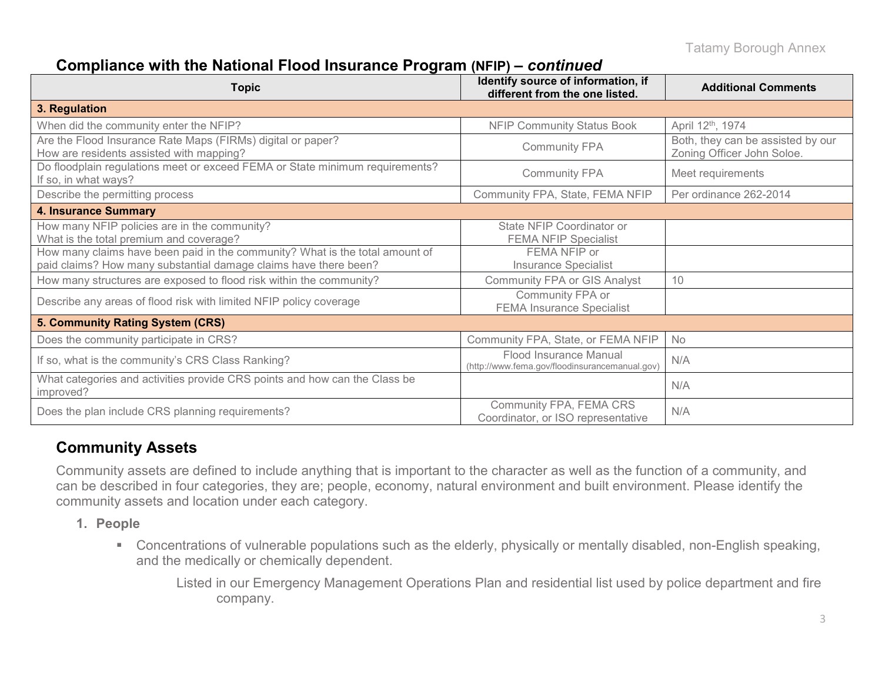## **Compliance with the National Flood Insurance Program (NFIP) –** *continued*

| Topic                                                                                                                                            | Identify source of information, if<br>different from the one listed.     | <b>Additional Comments</b>                                      |
|--------------------------------------------------------------------------------------------------------------------------------------------------|--------------------------------------------------------------------------|-----------------------------------------------------------------|
| 3. Regulation                                                                                                                                    |                                                                          |                                                                 |
| When did the community enter the NFIP?                                                                                                           | <b>NFIP Community Status Book</b>                                        | April 12th, 1974                                                |
| Are the Flood Insurance Rate Maps (FIRMs) digital or paper?<br>How are residents assisted with mapping?                                          | <b>Community FPA</b>                                                     | Both, they can be assisted by our<br>Zoning Officer John Soloe. |
| Do floodplain regulations meet or exceed FEMA or State minimum requirements?<br>If so, in what ways?                                             | <b>Community FPA</b>                                                     | Meet requirements                                               |
| Describe the permitting process                                                                                                                  | Community FPA, State, FEMA NFIP                                          | Per ordinance 262-2014                                          |
| <b>4. Insurance Summary</b>                                                                                                                      |                                                                          |                                                                 |
| How many NFIP policies are in the community?<br>What is the total premium and coverage?                                                          | State NFIP Coordinator or<br><b>FEMA NFIP Specialist</b>                 |                                                                 |
| How many claims have been paid in the community? What is the total amount of<br>paid claims? How many substantial damage claims have there been? | FEMA NFIP or<br><b>Insurance Specialist</b>                              |                                                                 |
| How many structures are exposed to flood risk within the community?                                                                              | <b>Community FPA or GIS Analyst</b>                                      | 10                                                              |
| Describe any areas of flood risk with limited NFIP policy coverage                                                                               | Community FPA or<br><b>FEMA Insurance Specialist</b>                     |                                                                 |
| 5. Community Rating System (CRS)                                                                                                                 |                                                                          |                                                                 |
| Does the community participate in CRS?                                                                                                           | Community FPA, State, or FEMA NFIP                                       | No                                                              |
| If so, what is the community's CRS Class Ranking?                                                                                                | Flood Insurance Manual<br>(http://www.fema.gov/floodinsurancemanual.gov) | N/A                                                             |
| What categories and activities provide CRS points and how can the Class be<br>improved?                                                          |                                                                          | N/A                                                             |
| Does the plan include CRS planning requirements?                                                                                                 | Community FPA, FEMA CRS<br>Coordinator, or ISO representative            | N/A                                                             |

## **Community Assets**

Community assets are defined to include anything that is important to the character as well as the function of a community, and can be described in four categories, they are; people, economy, natural environment and built environment. Please identify the community assets and location under each category.

- **1. People**
	- Concentrations of vulnerable populations such as the elderly, physically or mentally disabled, non-English speaking, and the medically or chemically dependent.

Listed in our Emergency Management Operations Plan and residential list used by police department and fire company.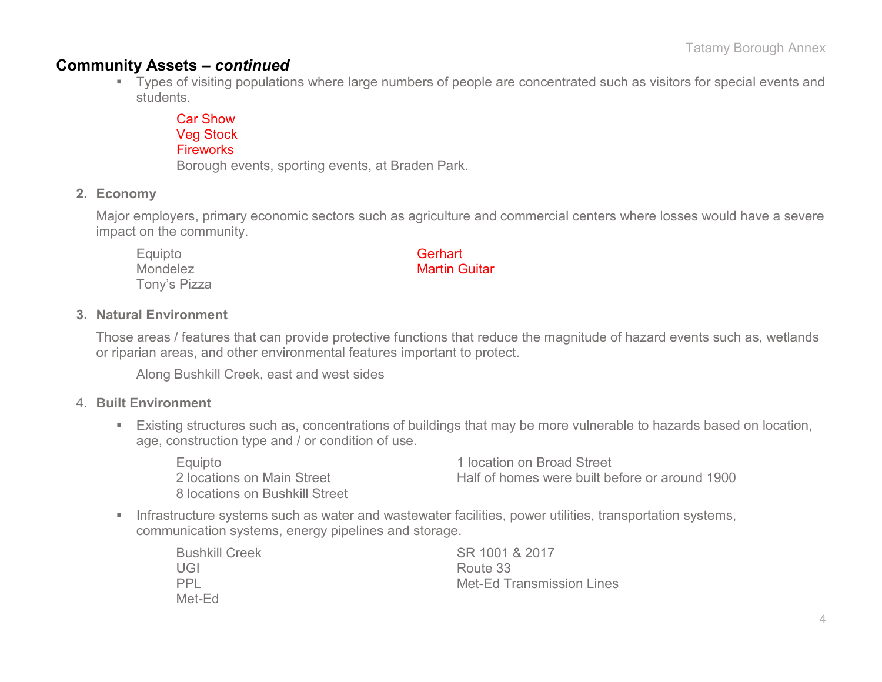### **Community Assets –** *continued*

 Types of visiting populations where large numbers of people are concentrated such as visitors for special events and students.

Car Show Veg Stock **Fireworks** Borough events, sporting events, at Braden Park.

### **2. Economy**

Major employers, primary economic sectors such as agriculture and commercial centers where losses would have a severe impact on the community.

Equipto **Gerhart** Tony's Pizza

Mondelez Martin Guitar

### **3. Natural Environment**

Those areas / features that can provide protective functions that reduce the magnitude of hazard events such as, wetlands or riparian areas, and other environmental features important to protect.

Along Bushkill Creek, east and west sides

#### 4. **Built Environment**

 Existing structures such as, concentrations of buildings that may be more vulnerable to hazards based on location, age, construction type and / or condition of use.

| Equipto                        | 1 location on Broad Street                     |
|--------------------------------|------------------------------------------------|
| 2 locations on Main Street     | Half of homes were built before or around 1900 |
| 8 locations on Bushkill Street |                                                |

**Infrastructure systems such as water and wastewater facilities, power utilities, transportation systems,** communication systems, energy pipelines and storage.

| <b>Bushkill Creek</b> | SR 1001 & 2017                   |
|-----------------------|----------------------------------|
| UGI                   | Route 33                         |
| <b>PPL</b>            | <b>Met-Ed Transmission Lines</b> |
| Met-Ed                |                                  |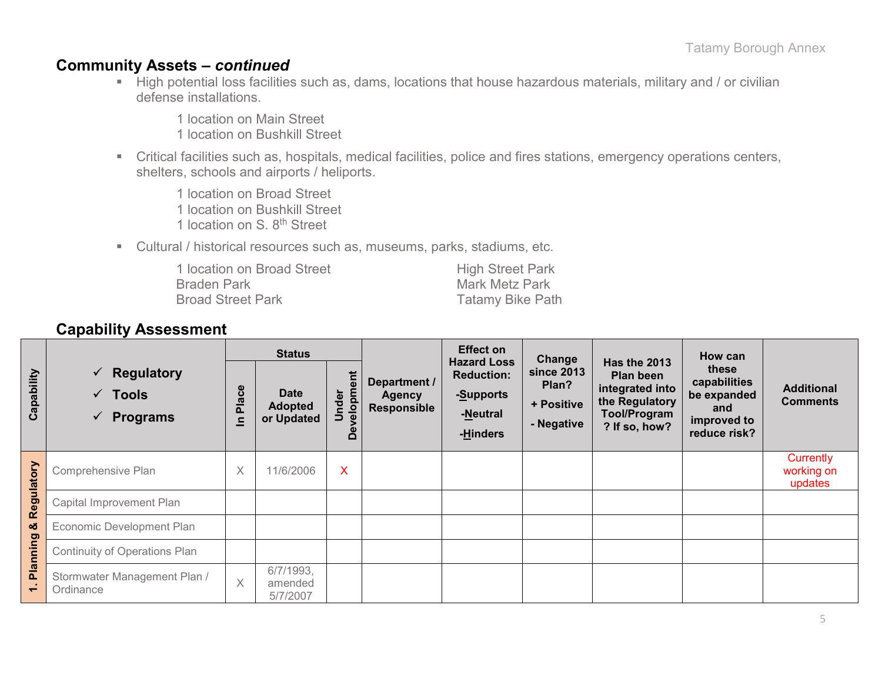## **Community Assets –** *continued*

High potential loss facilities such as, dams, locations that house hazardous materials, military and / or civilian defense installations.

1 location on Main Street

1 location on Bushkill Street

 Critical facilities such as, hospitals, medical facilities, police and fires stations, emergency operations centers, shelters, schools and airports / heliports.

1 location on Broad Street 1 location on Bushkill Street

1 location on S. 8<sup>th</sup> Street

Cultural / historical resources such as, museums, parks, stadiums, etc.

| 1 location on Broad Street | <b>High Street Park</b> |
|----------------------------|-------------------------|
| <b>Braden Park</b>         | Mark Metz Park          |
| <b>Broad Street Park</b>   | <b>Tatamy Bike Path</b> |

## **Capability Assessment**

|                                   |                                                              | <b>Status</b>         |                                             |                                          |                                     | <b>Effect on</b> | Change                                                                       |                                                        | How can                                                                                                       |                                                                            |                                      |
|-----------------------------------|--------------------------------------------------------------|-----------------------|---------------------------------------------|------------------------------------------|-------------------------------------|------------------|------------------------------------------------------------------------------|--------------------------------------------------------|---------------------------------------------------------------------------------------------------------------|----------------------------------------------------------------------------|--------------------------------------|
| Capability                        | <b>Regulatory</b><br>✓<br><b>Tools</b><br>✓<br>Programs<br>✔ | ဗီ<br><b>Pla</b><br>으 | <b>Date</b><br><b>Adopted</b><br>or Updated | ent<br>velopme<br>Under<br>Φ<br>$\Omega$ | <b>Agency</b><br><b>Responsible</b> | Department /     | <b>Hazard Loss</b><br><b>Reduction:</b><br>-Supports<br>-Neutral<br>-Hinders | <b>since 2013</b><br>Plan?<br>+ Positive<br>- Negative | <b>Has the 2013</b><br>Plan been<br>integrated into<br>the Regulatory<br><b>Tool/Program</b><br>? If so, how? | these<br>capabilities<br>be expanded<br>and<br>improved to<br>reduce risk? | <b>Additional</b><br><b>Comments</b> |
| Regulatory                        | Comprehensive Plan                                           | X                     | 11/6/2006                                   | X                                        |                                     |                  |                                                                              |                                                        |                                                                                                               | Currently<br>working on<br>updates                                         |                                      |
|                                   | Capital Improvement Plan                                     |                       |                                             |                                          |                                     |                  |                                                                              |                                                        |                                                                                                               |                                                                            |                                      |
| $\infty$                          | Economic Development Plan                                    |                       |                                             |                                          |                                     |                  |                                                                              |                                                        |                                                                                                               |                                                                            |                                      |
|                                   | Continuity of Operations Plan                                |                       |                                             |                                          |                                     |                  |                                                                              |                                                        |                                                                                                               |                                                                            |                                      |
| <b>Planning</b><br>$\overline{ }$ | Stormwater Management Plan /<br>Ordinance                    | $\times$              | 6/7/1993,<br>amended<br>5/7/2007            |                                          |                                     |                  |                                                                              |                                                        |                                                                                                               |                                                                            |                                      |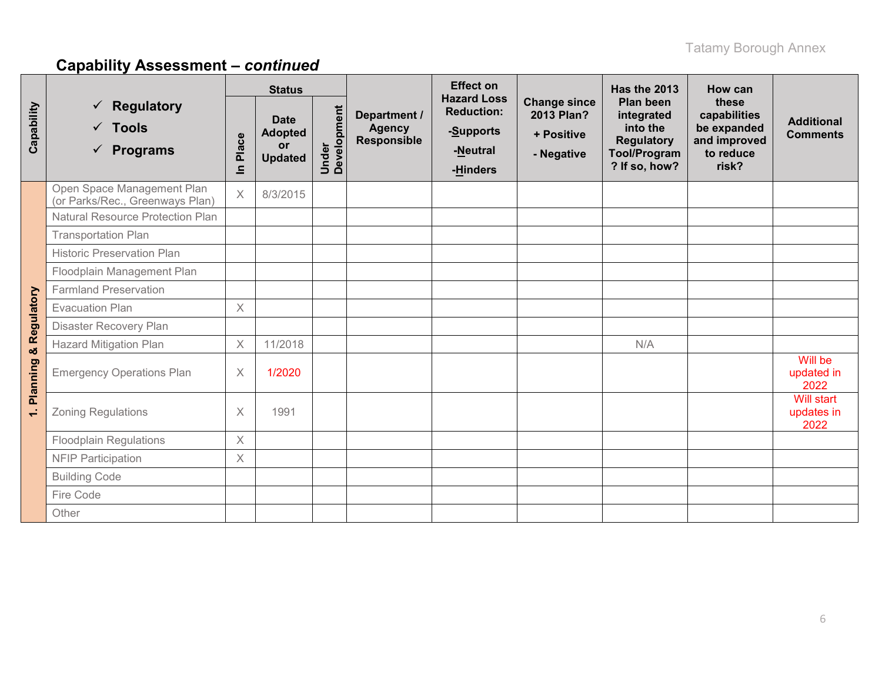|                      |                                                                                  |                         | <b>Status</b>                                         |                      |                                              | <b>Effect on</b>                                                             |                                                               | Has the 2013                                                                                            | How can                                                                    |                                         |
|----------------------|----------------------------------------------------------------------------------|-------------------------|-------------------------------------------------------|----------------------|----------------------------------------------|------------------------------------------------------------------------------|---------------------------------------------------------------|---------------------------------------------------------------------------------------------------------|----------------------------------------------------------------------------|-----------------------------------------|
| Capability           | <b>Regulatory</b><br>$\checkmark$<br>$\checkmark$ Tools<br>$\checkmark$ Programs | Place<br>$\overline{=}$ | <b>Date</b><br><b>Adopted</b><br>or<br><b>Updated</b> | Under<br>Development | Department /<br><b>Agency</b><br>Responsible | <b>Hazard Loss</b><br><b>Reduction:</b><br>-Supports<br>-Neutral<br>-Hinders | <b>Change since</b><br>2013 Plan?<br>+ Positive<br>- Negative | <b>Plan been</b><br>integrated<br>into the<br><b>Regulatory</b><br><b>Tool/Program</b><br>? If so, how? | these<br>capabilities<br>be expanded<br>and improved<br>to reduce<br>risk? | <b>Additional</b><br><b>Comments</b>    |
|                      | Open Space Management Plan<br>(or Parks/Rec., Greenways Plan)                    | $\times$                | 8/3/2015                                              |                      |                                              |                                                                              |                                                               |                                                                                                         |                                                                            |                                         |
|                      | <b>Natural Resource Protection Plan</b>                                          |                         |                                                       |                      |                                              |                                                                              |                                                               |                                                                                                         |                                                                            |                                         |
|                      | <b>Transportation Plan</b>                                                       |                         |                                                       |                      |                                              |                                                                              |                                                               |                                                                                                         |                                                                            |                                         |
|                      | <b>Historic Preservation Plan</b>                                                |                         |                                                       |                      |                                              |                                                                              |                                                               |                                                                                                         |                                                                            |                                         |
|                      | Floodplain Management Plan                                                       |                         |                                                       |                      |                                              |                                                                              |                                                               |                                                                                                         |                                                                            |                                         |
|                      | <b>Farmland Preservation</b>                                                     |                         |                                                       |                      |                                              |                                                                              |                                                               |                                                                                                         |                                                                            |                                         |
|                      | <b>Evacuation Plan</b>                                                           | $\times$                |                                                       |                      |                                              |                                                                              |                                                               |                                                                                                         |                                                                            |                                         |
|                      | Disaster Recovery Plan                                                           |                         |                                                       |                      |                                              |                                                                              |                                                               |                                                                                                         |                                                                            |                                         |
| & Regulatory         | <b>Hazard Mitigation Plan</b>                                                    | $\times$                | 11/2018                                               |                      |                                              |                                                                              |                                                               | N/A                                                                                                     |                                                                            |                                         |
| <b>Planning</b>      | <b>Emergency Operations Plan</b>                                                 | X                       | 1/2020                                                |                      |                                              |                                                                              |                                                               |                                                                                                         |                                                                            | Will be<br>updated in<br>2022           |
| $\ddot{\phantom{0}}$ | <b>Zoning Regulations</b>                                                        | $\times$                | 1991                                                  |                      |                                              |                                                                              |                                                               |                                                                                                         |                                                                            | <b>Will start</b><br>updates in<br>2022 |
|                      | <b>Floodplain Regulations</b>                                                    | X                       |                                                       |                      |                                              |                                                                              |                                                               |                                                                                                         |                                                                            |                                         |
|                      | <b>NFIP Participation</b>                                                        | $\times$                |                                                       |                      |                                              |                                                                              |                                                               |                                                                                                         |                                                                            |                                         |
|                      | <b>Building Code</b>                                                             |                         |                                                       |                      |                                              |                                                                              |                                                               |                                                                                                         |                                                                            |                                         |
|                      | Fire Code                                                                        |                         |                                                       |                      |                                              |                                                                              |                                                               |                                                                                                         |                                                                            |                                         |
|                      | Other                                                                            |                         |                                                       |                      |                                              |                                                                              |                                                               |                                                                                                         |                                                                            |                                         |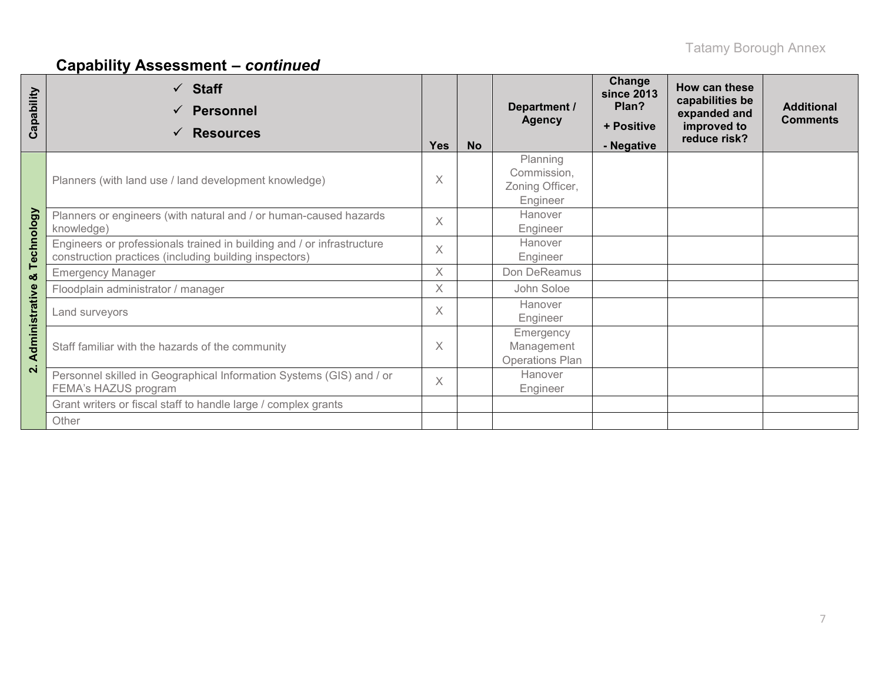| Capability         | <b>Staff</b><br>$\checkmark$<br><b>Personnel</b><br><b>Resources</b><br>✓                                                        | <b>Yes</b> | <b>No</b> | Department /<br><b>Agency</b>                          | Change<br><b>since 2013</b><br>Plan?<br>+ Positive<br>- Negative | How can these<br>capabilities be<br>expanded and<br>improved to<br>reduce risk? | <b>Additional</b><br><b>Comments</b> |
|--------------------|----------------------------------------------------------------------------------------------------------------------------------|------------|-----------|--------------------------------------------------------|------------------------------------------------------------------|---------------------------------------------------------------------------------|--------------------------------------|
|                    | Planners (with land use / land development knowledge)                                                                            | $\times$   |           | Planning<br>Commission,<br>Zoning Officer,<br>Engineer |                                                                  |                                                                                 |                                      |
|                    | Planners or engineers (with natural and / or human-caused hazards<br>knowledge)                                                  | $\times$   |           | Hanover<br>Engineer                                    |                                                                  |                                                                                 |                                      |
| Technology         | Engineers or professionals trained in building and / or infrastructure<br>construction practices (including building inspectors) | $\times$   |           | Hanover<br>Engineer                                    |                                                                  |                                                                                 |                                      |
| ఱ                  | <b>Emergency Manager</b>                                                                                                         | X          |           | Don DeReamus                                           |                                                                  |                                                                                 |                                      |
|                    | Floodplain administrator / manager                                                                                               | X          |           | John Soloe                                             |                                                                  |                                                                                 |                                      |
|                    | Land surveyors                                                                                                                   | $\times$   |           | Hanover<br>Engineer                                    |                                                                  |                                                                                 |                                      |
| Administrative     | Staff familiar with the hazards of the community                                                                                 | $\times$   |           | Emergency<br>Management<br><b>Operations Plan</b>      |                                                                  |                                                                                 |                                      |
| $\dot{\mathbf{N}}$ | Personnel skilled in Geographical Information Systems (GIS) and / or<br>FEMA's HAZUS program                                     |            |           | Hanover<br>Engineer                                    |                                                                  |                                                                                 |                                      |
|                    | Grant writers or fiscal staff to handle large / complex grants                                                                   |            |           |                                                        |                                                                  |                                                                                 |                                      |
|                    | Other                                                                                                                            |            |           |                                                        |                                                                  |                                                                                 |                                      |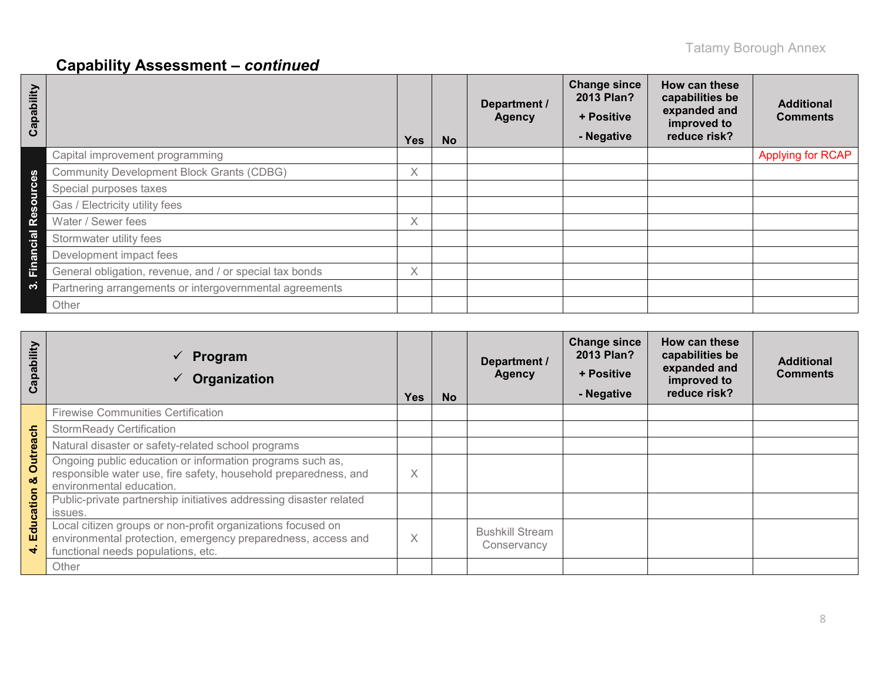| Capability |                                                         | <b>Yes</b> | <b>No</b> | Department /<br><b>Agency</b> | <b>Change since</b><br>2013 Plan?<br>+ Positive<br>- Negative | How can these<br>capabilities be<br>expanded and<br>improved to<br>reduce risk? | <b>Additional</b><br><b>Comments</b> |
|------------|---------------------------------------------------------|------------|-----------|-------------------------------|---------------------------------------------------------------|---------------------------------------------------------------------------------|--------------------------------------|
|            | Capital improvement programming                         |            |           |                               |                                                               |                                                                                 | Applying for RCAP                    |
| ဖိ         | <b>Community Development Block Grants (CDBG)</b>        | X.         |           |                               |                                                               |                                                                                 |                                      |
| ပ          | Special purposes taxes                                  |            |           |                               |                                                               |                                                                                 |                                      |
|            | Gas / Electricity utility fees                          |            |           |                               |                                                               |                                                                                 |                                      |
| ၉          | Water / Sewer fees                                      | X.         |           |                               |                                                               |                                                                                 |                                      |
| cial       | Stormwater utility fees                                 |            |           |                               |                                                               |                                                                                 |                                      |
| Ē          | Development impact fees                                 |            |           |                               |                                                               |                                                                                 |                                      |
| Fina       | General obligation, revenue, and / or special tax bonds | X.         |           |                               |                                                               |                                                                                 |                                      |
| က          | Partnering arrangements or intergovernmental agreements |            |           |                               |                                                               |                                                                                 |                                      |
|            | Other                                                   |            |           |                               |                                                               |                                                                                 |                                      |

| Capability    | Program<br>$\checkmark$<br>Organization                                                                                                                           | <b>Yes</b> | <b>No</b> | Department /<br><b>Agency</b>         | <b>Change since</b><br>2013 Plan?<br>+ Positive<br>- Negative | How can these<br>capabilities be<br>expanded and<br>improved to<br>reduce risk? | <b>Additional</b><br><b>Comments</b> |
|---------------|-------------------------------------------------------------------------------------------------------------------------------------------------------------------|------------|-----------|---------------------------------------|---------------------------------------------------------------|---------------------------------------------------------------------------------|--------------------------------------|
|               | <b>Firewise Communities Certification</b>                                                                                                                         |            |           |                                       |                                                               |                                                                                 |                                      |
|               | <b>StormReady Certification</b>                                                                                                                                   |            |           |                                       |                                                               |                                                                                 |                                      |
|               | Natural disaster or safety-related school programs                                                                                                                |            |           |                                       |                                                               |                                                                                 |                                      |
| Outreach<br>ಯ | Ongoing public education or information programs such as,<br>responsible water use, fire safety, household preparedness, and<br>environmental education.          | X          |           |                                       |                                                               |                                                                                 |                                      |
| Education     | Public-private partnership initiatives addressing disaster related<br>issues.                                                                                     |            |           |                                       |                                                               |                                                                                 |                                      |
| ₹             | Local citizen groups or non-profit organizations focused on<br>environmental protection, emergency preparedness, access and<br>functional needs populations, etc. | X          |           | <b>Bushkill Stream</b><br>Conservancy |                                                               |                                                                                 |                                      |
|               | Other                                                                                                                                                             |            |           |                                       |                                                               |                                                                                 |                                      |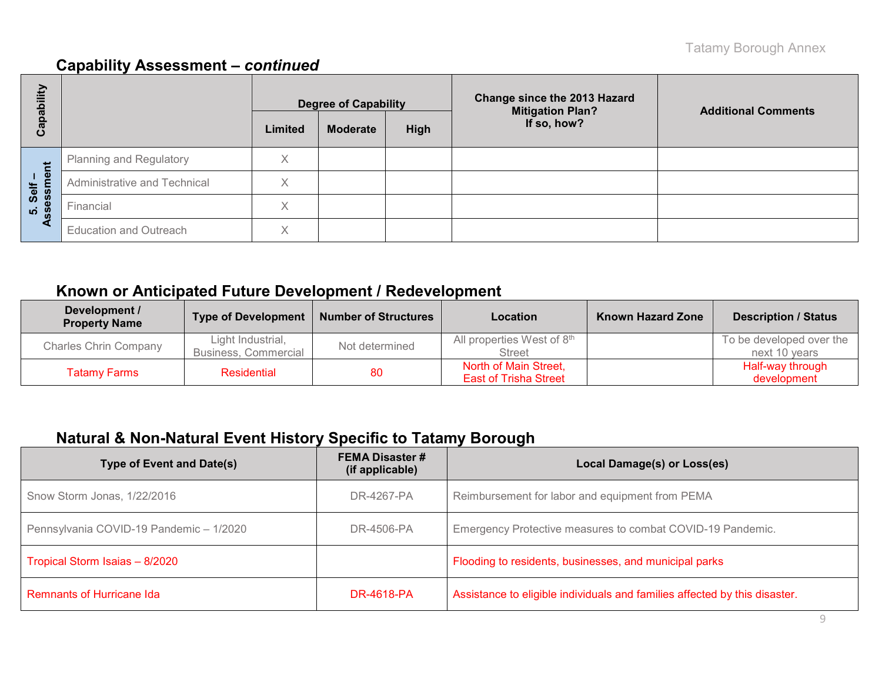| E<br>ة            |                                |         | <b>Degree of Capability</b> |      | <b>Change since the 2013 Hazard</b><br><b>Mitigation Plan?</b> | <b>Additional Comments</b> |  |
|-------------------|--------------------------------|---------|-----------------------------|------|----------------------------------------------------------------|----------------------------|--|
| <u>թզ</u><br>ပိ   |                                | Limited | <b>Moderate</b>             | High | If so, how?                                                    |                            |  |
|                   | <b>Planning and Regulatory</b> | X       |                             |      |                                                                |                            |  |
| Self –<br>essment | Administrative and Technical   | X       |                             |      |                                                                |                            |  |
| <u>ທີ່ 8</u>      | Financial                      | X       |                             |      |                                                                |                            |  |
| ✔                 | <b>Education and Outreach</b>  | X       |                             |      |                                                                |                            |  |

## **Known or Anticipated Future Development / Redevelopment**

| Development /<br><b>Property Name</b> | <b>Type of Development</b>                | <b>Number of Structures</b> | Location                                              | <b>Known Hazard Zone</b> | <b>Description / Status</b>               |
|---------------------------------------|-------------------------------------------|-----------------------------|-------------------------------------------------------|--------------------------|-------------------------------------------|
| <b>Charles Chrin Company</b>          | Light Industrial,<br>Business, Commercial | Not determined              | All properties West of 8th<br><b>Street</b>           |                          | To be developed over the<br>next 10 years |
| <b>Tatamy Farms</b>                   | <b>Residential</b><br>80                  |                             | North of Main Street,<br><b>East of Trisha Street</b> |                          | Half-way through<br>development           |

## **Natural & Non-Natural Event History Specific to Tatamy Borough**

| <b>Type of Event and Date(s)</b>        | <b>FEMA Disaster #</b><br>(if applicable) | Local Damage(s) or Loss(es)                                                |
|-----------------------------------------|-------------------------------------------|----------------------------------------------------------------------------|
| Snow Storm Jonas, 1/22/2016             | DR-4267-PA                                | Reimbursement for labor and equipment from PEMA                            |
| Pennsylvania COVID-19 Pandemic - 1/2020 | DR-4506-PA                                | Emergency Protective measures to combat COVID-19 Pandemic.                 |
| Tropical Storm Isaias - 8/2020          |                                           | Flooding to residents, businesses, and municipal parks                     |
| <b>Remnants of Hurricane Ida</b>        | <b>DR-4618-PA</b>                         | Assistance to eligible individuals and families affected by this disaster. |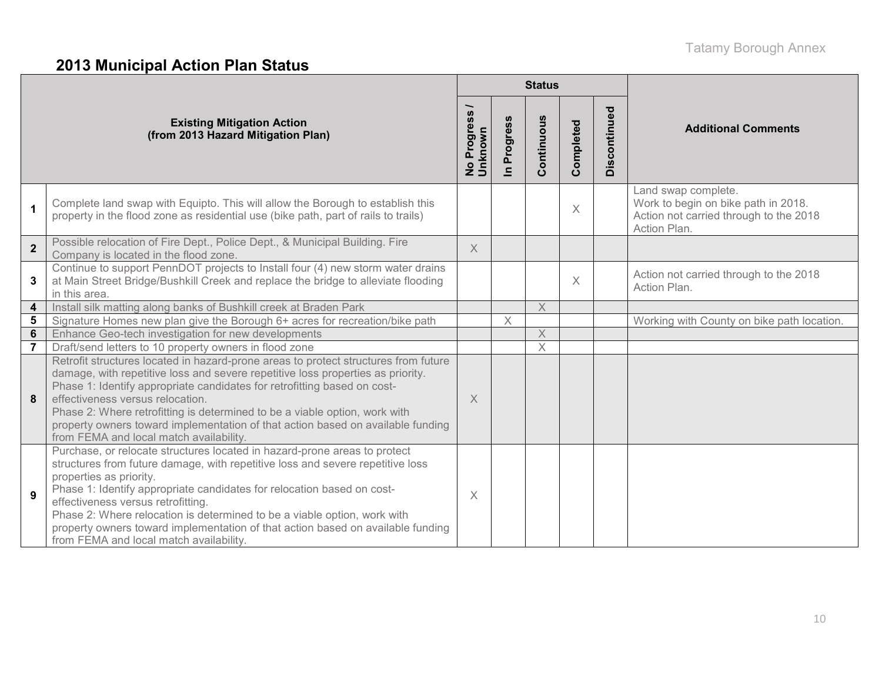# **2013 Municipal Action Plan Status**

|                         |                                                                                                                                                                                                                                                                                                                                                                                                                                                                                                                  |                          |                            | <b>Status</b> |           |              |                                                                                                                      |
|-------------------------|------------------------------------------------------------------------------------------------------------------------------------------------------------------------------------------------------------------------------------------------------------------------------------------------------------------------------------------------------------------------------------------------------------------------------------------------------------------------------------------------------------------|--------------------------|----------------------------|---------------|-----------|--------------|----------------------------------------------------------------------------------------------------------------------|
|                         | <b>Existing Mitigation Action</b><br>(from 2013 Hazard Mitigation Plan)                                                                                                                                                                                                                                                                                                                                                                                                                                          | No Progress /<br>Unknown | Progress<br>$\blacksquare$ | Continuous    | Completed | Discontinued | <b>Additional Comments</b>                                                                                           |
| $\mathbf{1}$            | Complete land swap with Equipto. This will allow the Borough to establish this<br>property in the flood zone as residential use (bike path, part of rails to trails)                                                                                                                                                                                                                                                                                                                                             |                          |                            |               | $\times$  |              | Land swap complete.<br>Work to begin on bike path in 2018.<br>Action not carried through to the 2018<br>Action Plan. |
| $\overline{2}$          | Possible relocation of Fire Dept., Police Dept., & Municipal Building. Fire<br>Company is located in the flood zone.                                                                                                                                                                                                                                                                                                                                                                                             | $\times$                 |                            |               |           |              |                                                                                                                      |
| 3                       | Continue to support PennDOT projects to Install four (4) new storm water drains<br>at Main Street Bridge/Bushkill Creek and replace the bridge to alleviate flooding<br>in this area.                                                                                                                                                                                                                                                                                                                            |                          |                            |               | $\times$  |              | Action not carried through to the 2018<br>Action Plan.                                                               |
| $\overline{\mathbf{4}}$ | Install silk matting along banks of Bushkill creek at Braden Park                                                                                                                                                                                                                                                                                                                                                                                                                                                |                          |                            | $\times$      |           |              |                                                                                                                      |
| $5\phantom{1}$          | Signature Homes new plan give the Borough 6+ acres for recreation/bike path                                                                                                                                                                                                                                                                                                                                                                                                                                      |                          | $\times$                   |               |           |              | Working with County on bike path location.                                                                           |
| $6\phantom{1}$          | Enhance Geo-tech investigation for new developments                                                                                                                                                                                                                                                                                                                                                                                                                                                              |                          |                            | $\times$      |           |              |                                                                                                                      |
| $\overline{7}$          | Draft/send letters to 10 property owners in flood zone                                                                                                                                                                                                                                                                                                                                                                                                                                                           |                          |                            | $\times$      |           |              |                                                                                                                      |
| 8                       | Retrofit structures located in hazard-prone areas to protect structures from future<br>damage, with repetitive loss and severe repetitive loss properties as priority.<br>Phase 1: Identify appropriate candidates for retrofitting based on cost-<br>effectiveness versus relocation.<br>Phase 2: Where retrofitting is determined to be a viable option, work with<br>property owners toward implementation of that action based on available funding<br>from FEMA and local match availability.               | $\overline{\mathsf{X}}$  |                            |               |           |              |                                                                                                                      |
| 9                       | Purchase, or relocate structures located in hazard-prone areas to protect<br>structures from future damage, with repetitive loss and severe repetitive loss<br>properties as priority.<br>Phase 1: Identify appropriate candidates for relocation based on cost-<br>effectiveness versus retrofitting.<br>Phase 2: Where relocation is determined to be a viable option, work with<br>property owners toward implementation of that action based on available funding<br>from FEMA and local match availability. | $\times$                 |                            |               |           |              |                                                                                                                      |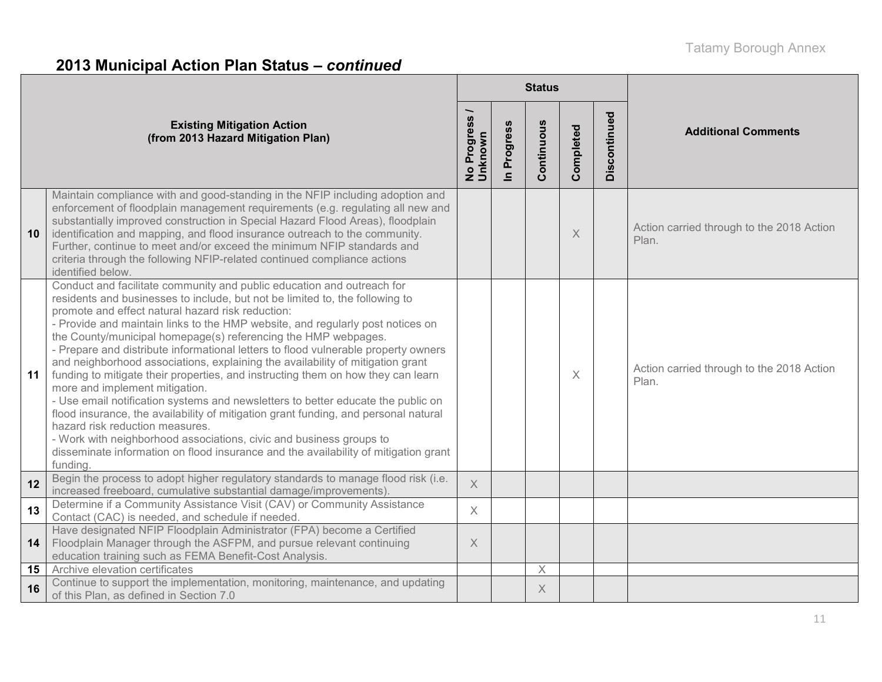# **2013 Municipal Action Plan Status –** *continued*

|    |                                                                                                                                                                                                                                                                                                                                                                                                                                                                                                                                                                                                                                                                                                                                                                                                                                                                                                                                                                                                                                                       |                          |             | <b>Status</b> |           |              |                                                    |
|----|-------------------------------------------------------------------------------------------------------------------------------------------------------------------------------------------------------------------------------------------------------------------------------------------------------------------------------------------------------------------------------------------------------------------------------------------------------------------------------------------------------------------------------------------------------------------------------------------------------------------------------------------------------------------------------------------------------------------------------------------------------------------------------------------------------------------------------------------------------------------------------------------------------------------------------------------------------------------------------------------------------------------------------------------------------|--------------------------|-------------|---------------|-----------|--------------|----------------------------------------------------|
|    | <b>Existing Mitigation Action</b><br>(from 2013 Hazard Mitigation Plan)                                                                                                                                                                                                                                                                                                                                                                                                                                                                                                                                                                                                                                                                                                                                                                                                                                                                                                                                                                               | No Progress /<br>Unknown | In Progress | Continuous    | Completed | Discontinued | <b>Additional Comments</b>                         |
| 10 | Maintain compliance with and good-standing in the NFIP including adoption and<br>enforcement of floodplain management requirements (e.g. regulating all new and<br>substantially improved construction in Special Hazard Flood Areas), floodplain<br>identification and mapping, and flood insurance outreach to the community.<br>Further, continue to meet and/or exceed the minimum NFIP standards and<br>criteria through the following NFIP-related continued compliance actions<br>identified below.                                                                                                                                                                                                                                                                                                                                                                                                                                                                                                                                            |                          |             |               | X         |              | Action carried through to the 2018 Action<br>Plan. |
| 11 | Conduct and facilitate community and public education and outreach for<br>residents and businesses to include, but not be limited to, the following to<br>promote and effect natural hazard risk reduction:<br>- Provide and maintain links to the HMP website, and regularly post notices on<br>the County/municipal homepage(s) referencing the HMP webpages.<br>- Prepare and distribute informational letters to flood vulnerable property owners<br>and neighborhood associations, explaining the availability of mitigation grant<br>funding to mitigate their properties, and instructing them on how they can learn<br>more and implement mitigation.<br>- Use email notification systems and newsletters to better educate the public on<br>flood insurance, the availability of mitigation grant funding, and personal natural<br>hazard risk reduction measures.<br>- Work with neighborhood associations, civic and business groups to<br>disseminate information on flood insurance and the availability of mitigation grant<br>funding. |                          |             |               | $\times$  |              | Action carried through to the 2018 Action<br>Plan. |
| 12 | Begin the process to adopt higher regulatory standards to manage flood risk (i.e.<br>increased freeboard, cumulative substantial damage/improvements)                                                                                                                                                                                                                                                                                                                                                                                                                                                                                                                                                                                                                                                                                                                                                                                                                                                                                                 | $\times$                 |             |               |           |              |                                                    |
| 13 | Determine if a Community Assistance Visit (CAV) or Community Assistance<br>Contact (CAC) is needed, and schedule if needed.                                                                                                                                                                                                                                                                                                                                                                                                                                                                                                                                                                                                                                                                                                                                                                                                                                                                                                                           | $\overline{\mathsf{X}}$  |             |               |           |              |                                                    |
| 14 | Have designated NFIP Floodplain Administrator (FPA) become a Certified<br>Floodplain Manager through the ASFPM, and pursue relevant continuing<br>education training such as FEMA Benefit-Cost Analysis.                                                                                                                                                                                                                                                                                                                                                                                                                                                                                                                                                                                                                                                                                                                                                                                                                                              | X                        |             |               |           |              |                                                    |
| 15 | Archive elevation certificates                                                                                                                                                                                                                                                                                                                                                                                                                                                                                                                                                                                                                                                                                                                                                                                                                                                                                                                                                                                                                        |                          |             | $\mathsf X$   |           |              |                                                    |
| 16 | Continue to support the implementation, monitoring, maintenance, and updating<br>of this Plan, as defined in Section 7.0                                                                                                                                                                                                                                                                                                                                                                                                                                                                                                                                                                                                                                                                                                                                                                                                                                                                                                                              |                          |             | X             |           |              |                                                    |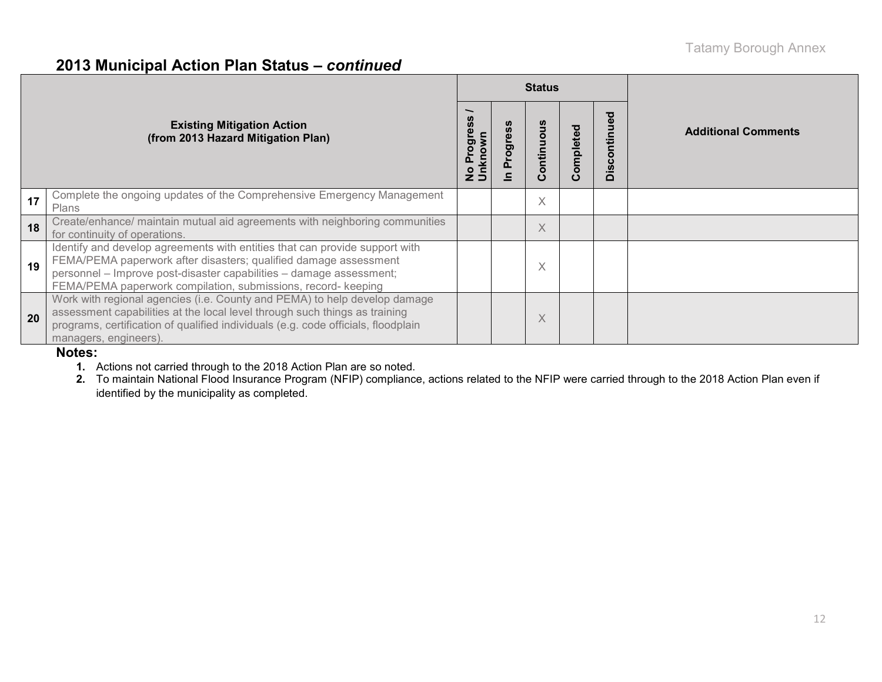### **2013 Municipal Action Plan Status –** *continued*

|    |                                                                                                                                                                                                                                                                                         |     |                      | <b>Status</b> |           |              |                            |
|----|-----------------------------------------------------------------------------------------------------------------------------------------------------------------------------------------------------------------------------------------------------------------------------------------|-----|----------------------|---------------|-----------|--------------|----------------------------|
|    | <b>Existing Mitigation Action</b><br>(from 2013 Hazard Mitigation Plan)                                                                                                                                                                                                                 | ិ ខ | ပ္ပိ<br>Progres<br>드 | Continuous    | Completed | Discontinued | <b>Additional Comments</b> |
| 17 | Complete the ongoing updates of the Comprehensive Emergency Management<br>Plans                                                                                                                                                                                                         |     |                      | $\times$      |           |              |                            |
| 18 | Create/enhance/ maintain mutual aid agreements with neighboring communities<br>for continuity of operations.                                                                                                                                                                            |     |                      | X             |           |              |                            |
| 19 | Identify and develop agreements with entities that can provide support with<br>FEMA/PEMA paperwork after disasters; qualified damage assessment<br>personnel - Improve post-disaster capabilities - damage assessment;<br>FEMA/PEMA paperwork compilation, submissions, record- keeping |     |                      | Χ             |           |              |                            |
| 20 | Work with regional agencies (i.e. County and PEMA) to help develop damage<br>assessment capabilities at the local level through such things as training<br>programs, certification of qualified individuals (e.g. code officials, floodplain<br>managers, engineers).                   |     |                      | $\times$      |           |              |                            |

### **Notes:**

**1.** Actions not carried through to the 2018 Action Plan are so noted.

**2.** To maintain National Flood Insurance Program (NFIP) compliance, actions related to the NFIP were carried through to the 2018 Action Plan even if identified by the municipality as completed.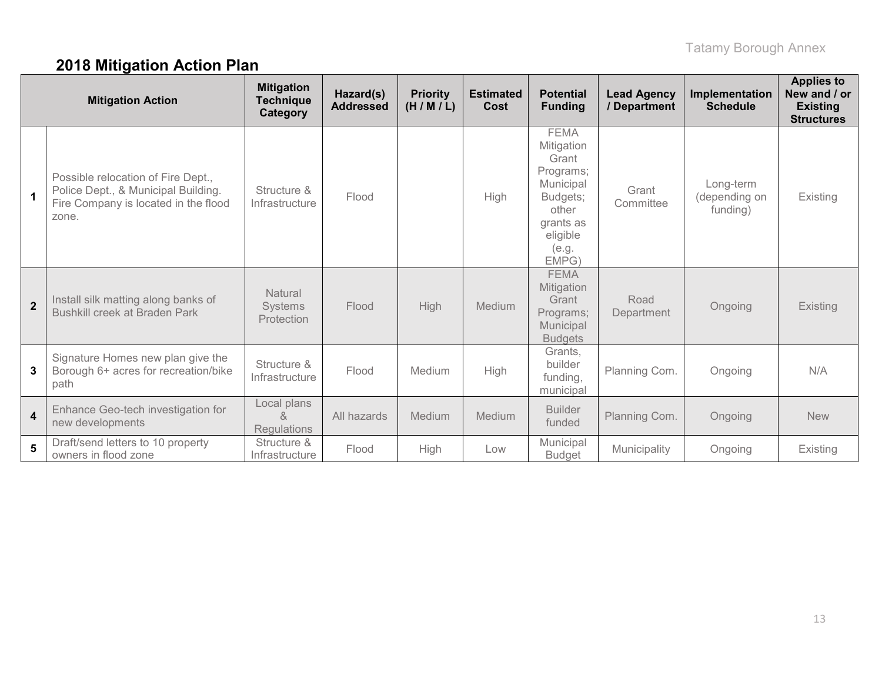# **2018 Mitigation Action Plan**

|                         | <b>Mitigation Action</b>                                                                                                   | <b>Mitigation</b><br><b>Technique</b><br>Category | Hazard(s)<br><b>Addressed</b> | <b>Priority</b><br>(H/M/L) | <b>Estimated</b><br>Cost | <b>Potential</b><br><b>Funding</b>                                                                                           | <b>Lead Agency</b><br>/ Department | Implementation<br><b>Schedule</b>      | <b>Applies to</b><br>New and / or<br><b>Existing</b><br><b>Structures</b> |
|-------------------------|----------------------------------------------------------------------------------------------------------------------------|---------------------------------------------------|-------------------------------|----------------------------|--------------------------|------------------------------------------------------------------------------------------------------------------------------|------------------------------------|----------------------------------------|---------------------------------------------------------------------------|
| $\mathbf 1$             | Possible relocation of Fire Dept.,<br>Police Dept., & Municipal Building.<br>Fire Company is located in the flood<br>zone. | Structure &<br>Infrastructure                     | Flood                         |                            | High                     | <b>FEMA</b><br>Mitigation<br>Grant<br>Programs;<br>Municipal<br>Budgets;<br>other<br>grants as<br>eligible<br>(e.g.<br>EMPG) | Grant<br>Committee                 | Long-term<br>(depending on<br>funding) | Existing                                                                  |
| $\overline{2}$          | Install silk matting along banks of<br>Bushkill creek at Braden Park                                                       | Natural<br>Systems<br>Protection                  | Flood                         | <b>High</b>                | Medium                   | <b>FEMA</b><br>Mitigation<br>Grant<br>Programs;<br>Municipal<br><b>Budgets</b>                                               | Road<br>Department                 | Ongoing                                | Existing                                                                  |
| 3                       | Signature Homes new plan give the<br>Borough 6+ acres for recreation/bike<br>path                                          | Structure &<br>Infrastructure                     | Flood                         | Medium                     | High                     | Grants,<br>builder<br>funding,<br>municipal                                                                                  | Planning Com.                      | Ongoing                                | N/A                                                                       |
| $\overline{\mathbf{4}}$ | Enhance Geo-tech investigation for<br>new developments                                                                     | Local plans<br>$\alpha$<br>Regulations            | All hazards                   | Medium                     | Medium                   | <b>Builder</b><br>funded                                                                                                     | Planning Com.                      | Ongoing                                | <b>New</b>                                                                |
| 5                       | Draft/send letters to 10 property<br>owners in flood zone                                                                  | Structure &<br>Infrastructure                     | Flood                         | High                       | Low                      | Municipal<br><b>Budget</b>                                                                                                   | Municipality                       | Ongoing                                | <b>Existing</b>                                                           |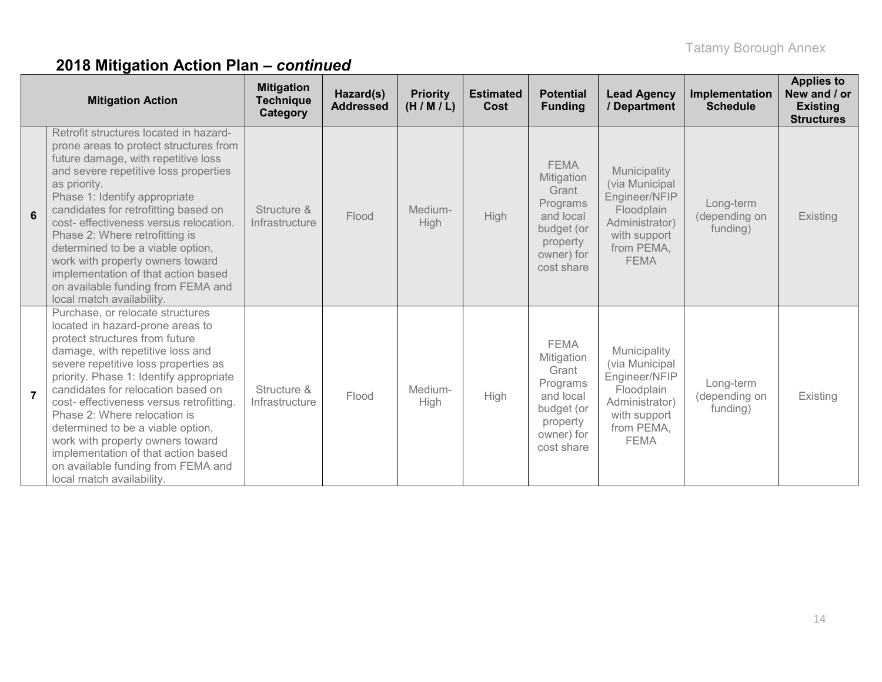|                | <b>Mitigation Action</b>                                                                                                                                                                                                                                                                                                                                                                                                                                                                                                           | <b>Mitigation</b><br><b>Technique</b><br>Category | Hazard(s)<br><b>Addressed</b> | <b>Priority</b><br>(H/M/L) | <b>Estimated</b><br>Cost | <b>Potential</b><br><b>Funding</b>                                                                                | <b>Lead Agency</b><br>/ Department                                                                                           | Implementation<br><b>Schedule</b>      | <b>Applies to</b><br>New and / or<br><b>Existing</b><br><b>Structures</b> |
|----------------|------------------------------------------------------------------------------------------------------------------------------------------------------------------------------------------------------------------------------------------------------------------------------------------------------------------------------------------------------------------------------------------------------------------------------------------------------------------------------------------------------------------------------------|---------------------------------------------------|-------------------------------|----------------------------|--------------------------|-------------------------------------------------------------------------------------------------------------------|------------------------------------------------------------------------------------------------------------------------------|----------------------------------------|---------------------------------------------------------------------------|
| 6              | Retrofit structures located in hazard-<br>prone areas to protect structures from<br>future damage, with repetitive loss<br>and severe repetitive loss properties<br>as priority.<br>Phase 1: Identify appropriate<br>candidates for retrofitting based on<br>cost- effectiveness versus relocation.<br>Phase 2: Where retrofitting is<br>determined to be a viable option,<br>work with property owners toward<br>implementation of that action based<br>on available funding from FEMA and<br>local match availability.           | Structure &<br>Infrastructure                     | Flood                         | Medium-<br>High            | <b>High</b>              | <b>FEMA</b><br>Mitigation<br>Grant<br>Programs<br>and local<br>budget (or<br>property<br>owner) for<br>cost share | Municipality<br>(via Municipal<br>Engineer/NFIP<br>Floodplain<br>Administrator)<br>with support<br>from PEMA,<br><b>FEMA</b> | Long-term<br>(depending on<br>funding) | Existing                                                                  |
| $\overline{7}$ | Purchase, or relocate structures<br>located in hazard-prone areas to<br>protect structures from future<br>damage, with repetitive loss and<br>severe repetitive loss properties as<br>priority. Phase 1: Identify appropriate<br>candidates for relocation based on<br>cost- effectiveness versus retrofitting.<br>Phase 2: Where relocation is<br>determined to be a viable option,<br>work with property owners toward<br>implementation of that action based<br>on available funding from FEMA and<br>local match availability. | Structure &<br>Infrastructure                     | Flood                         | Medium-<br>High            | High                     | <b>FEMA</b><br>Mitigation<br>Grant<br>Programs<br>and local<br>budget (or<br>property<br>owner) for<br>cost share | Municipality<br>(via Municipal<br>Engineer/NFIP<br>Floodplain<br>Administrator)<br>with support<br>from PEMA,<br><b>FEMA</b> | Long-term<br>(depending on<br>funding) | Existing                                                                  |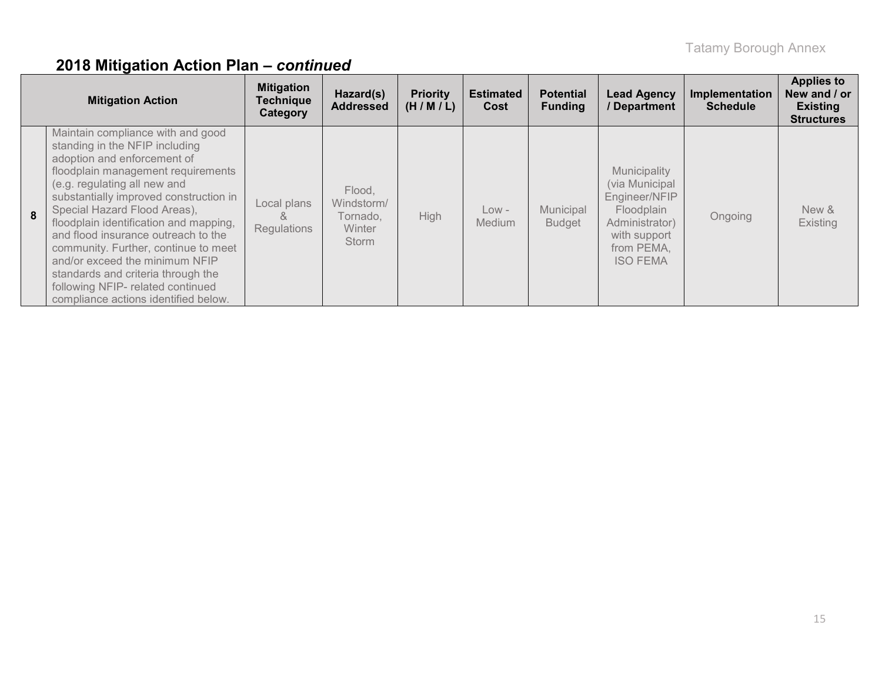|   | <b>Mitigation Action</b>                                                                                                                                                                                                                                                                                                                                                                                                                                                                                                         | <b>Mitigation</b><br><b>Technique</b><br>Category | Hazard(s)<br><b>Addressed</b>                                     | <b>Priority</b><br>(H/M/L) | <b>Estimated</b><br>Cost | <b>Potential</b><br><b>Funding</b> | <b>Lead Agency</b><br>/ Department                                                                                               | Implementation<br><b>Schedule</b> | <b>Applies to</b><br>New and / or<br><b>Existing</b><br><b>Structures</b> |
|---|----------------------------------------------------------------------------------------------------------------------------------------------------------------------------------------------------------------------------------------------------------------------------------------------------------------------------------------------------------------------------------------------------------------------------------------------------------------------------------------------------------------------------------|---------------------------------------------------|-------------------------------------------------------------------|----------------------------|--------------------------|------------------------------------|----------------------------------------------------------------------------------------------------------------------------------|-----------------------------------|---------------------------------------------------------------------------|
| 8 | Maintain compliance with and good<br>standing in the NFIP including<br>adoption and enforcement of<br>floodplain management requirements<br>(e.g. regulating all new and<br>substantially improved construction in<br>Special Hazard Flood Areas),<br>floodplain identification and mapping,<br>and flood insurance outreach to the<br>community. Further, continue to meet<br>and/or exceed the minimum NFIP<br>standards and criteria through the<br>following NFIP- related continued<br>compliance actions identified below. | Local plans<br>Ŏ.<br><b>Regulations</b>           | Flood,<br>Windstorm/<br>Tornado.<br><b>Winter</b><br><b>Storm</b> | High                       | $Low -$<br>Medium        | Municipal<br><b>Budget</b>         | Municipality<br>(via Municipal<br>Engineer/NFIP<br>Floodplain<br>Administrator)<br>with support<br>from PEMA,<br><b>ISO FEMA</b> | Ongoing                           | New &<br><b>Existing</b>                                                  |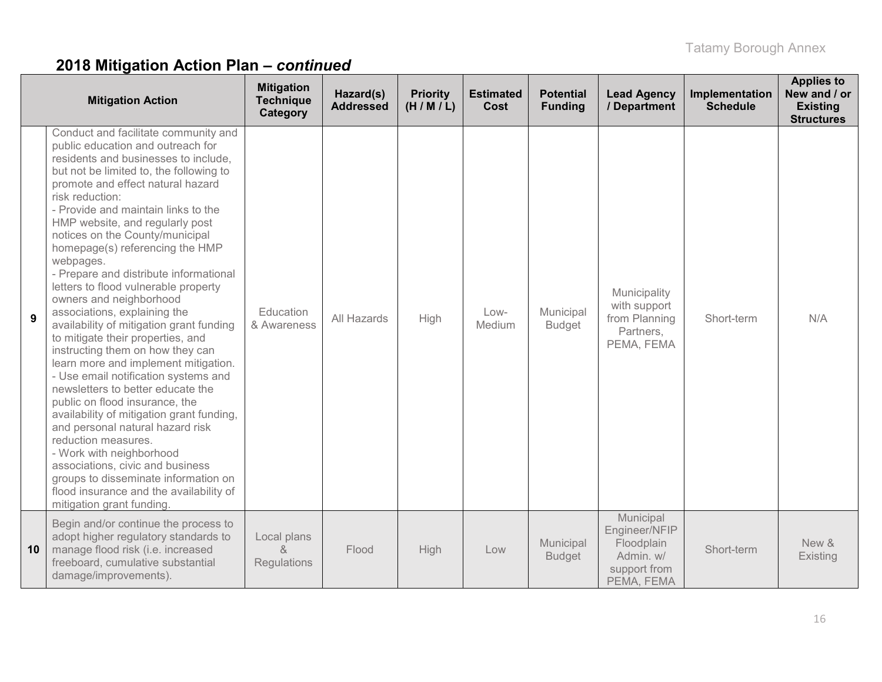|    | <b>Mitigation Action</b>                                                                                                                                                                                                                                                                                                                                                                                                                                                                                                                                                                                                                                                                                                                                                                                                                                                                                                                                                                                                                                                                          | <b>Mitigation</b><br><b>Technique</b><br>Category | Hazard(s)<br><b>Addressed</b> | <b>Priority</b><br>(H/M/L) | <b>Estimated</b><br>Cost | <b>Potential</b><br><b>Funding</b> | <b>Lead Agency</b><br>/ Department                                                  | Implementation<br><b>Schedule</b> | <b>Applies to</b><br>New and / or<br><b>Existing</b><br><b>Structures</b> |
|----|---------------------------------------------------------------------------------------------------------------------------------------------------------------------------------------------------------------------------------------------------------------------------------------------------------------------------------------------------------------------------------------------------------------------------------------------------------------------------------------------------------------------------------------------------------------------------------------------------------------------------------------------------------------------------------------------------------------------------------------------------------------------------------------------------------------------------------------------------------------------------------------------------------------------------------------------------------------------------------------------------------------------------------------------------------------------------------------------------|---------------------------------------------------|-------------------------------|----------------------------|--------------------------|------------------------------------|-------------------------------------------------------------------------------------|-----------------------------------|---------------------------------------------------------------------------|
| 9  | Conduct and facilitate community and<br>public education and outreach for<br>residents and businesses to include,<br>but not be limited to, the following to<br>promote and effect natural hazard<br>risk reduction:<br>- Provide and maintain links to the<br>HMP website, and regularly post<br>notices on the County/municipal<br>homepage(s) referencing the HMP<br>webpages.<br>- Prepare and distribute informational<br>letters to flood vulnerable property<br>owners and neighborhood<br>associations, explaining the<br>availability of mitigation grant funding<br>to mitigate their properties, and<br>instructing them on how they can<br>learn more and implement mitigation.<br>- Use email notification systems and<br>newsletters to better educate the<br>public on flood insurance, the<br>availability of mitigation grant funding,<br>and personal natural hazard risk<br>reduction measures.<br>- Work with neighborhood<br>associations, civic and business<br>groups to disseminate information on<br>flood insurance and the availability of<br>mitigation grant funding | Education<br>& Awareness                          | All Hazards                   | High                       | $Low-$<br>Medium         | Municipal<br><b>Budget</b>         | Municipality<br>with support<br>from Planning<br>Partners,<br>PEMA, FEMA            | Short-term                        | N/A                                                                       |
| 10 | Begin and/or continue the process to<br>adopt higher regulatory standards to<br>manage flood risk (i.e. increased<br>freeboard, cumulative substantial<br>damage/improvements).                                                                                                                                                                                                                                                                                                                                                                                                                                                                                                                                                                                                                                                                                                                                                                                                                                                                                                                   | Local plans<br>&<br>Regulations                   | Flood                         | High                       | Low                      | Municipal<br><b>Budget</b>         | Municipal<br>Engineer/NFIP<br>Floodplain<br>Admin. w/<br>support from<br>PEMA, FEMA | Short-term                        | New &<br>Existing                                                         |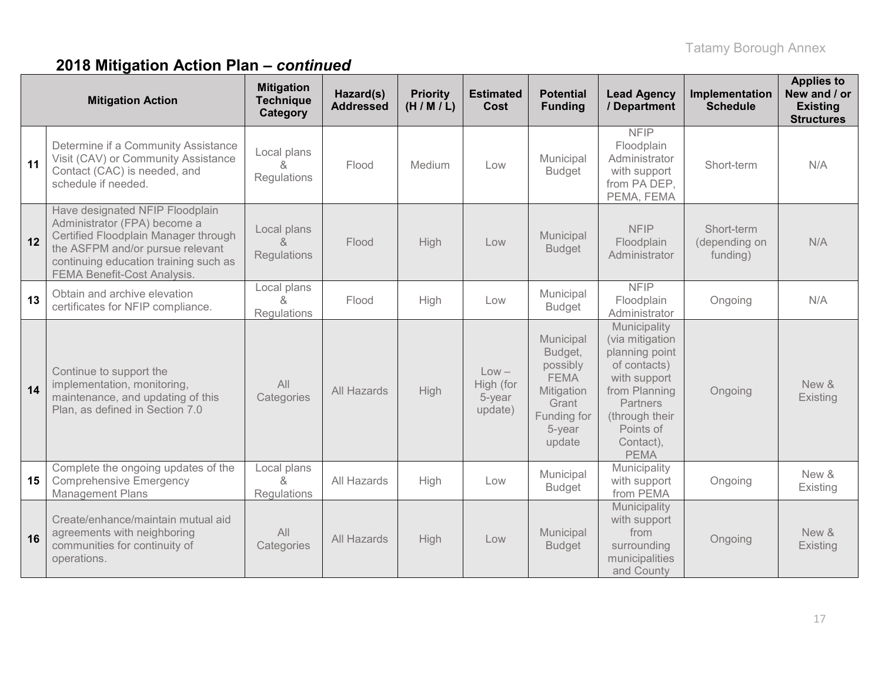|    | <b>Mitigation Action</b>                                                                                                                                                                                            | <b>Mitigation</b><br><b>Technique</b><br>Category | Hazard(s)<br><b>Addressed</b> | <b>Priority</b><br>(H/M/L) | <b>Estimated</b><br>Cost                  | <b>Potential</b><br><b>Funding</b>                                                                        | <b>Lead Agency</b><br>/ Department                                                                                                                                               | Implementation<br><b>Schedule</b>       | <b>Applies to</b><br>New and / or<br><b>Existing</b><br><b>Structures</b> |
|----|---------------------------------------------------------------------------------------------------------------------------------------------------------------------------------------------------------------------|---------------------------------------------------|-------------------------------|----------------------------|-------------------------------------------|-----------------------------------------------------------------------------------------------------------|----------------------------------------------------------------------------------------------------------------------------------------------------------------------------------|-----------------------------------------|---------------------------------------------------------------------------|
| 11 | Determine if a Community Assistance<br>Visit (CAV) or Community Assistance<br>Contact (CAC) is needed, and<br>schedule if needed.                                                                                   | Local plans<br>&<br>Regulations                   | Flood                         | Medium                     | Low                                       | Municipal<br><b>Budget</b>                                                                                | <b>NFIP</b><br>Floodplain<br>Administrator<br>with support<br>from PA DEP,<br>PEMA, FEMA                                                                                         | Short-term                              | N/A                                                                       |
| 12 | Have designated NFIP Floodplain<br>Administrator (FPA) become a<br>Certified Floodplain Manager through<br>the ASFPM and/or pursue relevant<br>continuing education training such as<br>FEMA Benefit-Cost Analysis. | Local plans<br>$\alpha$<br>Regulations            | Flood                         | High                       | Low                                       | Municipal<br><b>Budget</b>                                                                                | <b>NFIP</b><br>Floodplain<br>Administrator                                                                                                                                       | Short-term<br>(depending on<br>funding) | N/A                                                                       |
| 13 | Obtain and archive elevation<br>certificates for NFIP compliance.                                                                                                                                                   | Local plans<br>&<br>Regulations                   | Flood                         | High                       | Low                                       | Municipal<br><b>Budget</b>                                                                                | <b>NFIP</b><br>Floodplain<br>Administrator                                                                                                                                       | Ongoing                                 | N/A                                                                       |
| 14 | Continue to support the<br>implementation, monitoring,<br>maintenance, and updating of this<br>Plan, as defined in Section 7.0                                                                                      | All<br>Categories                                 | All Hazards                   | High                       | $Low -$<br>High (for<br>5-year<br>update) | Municipal<br>Budget,<br>possibly<br><b>FEMA</b><br>Mitigation<br>Grant<br>Funding for<br>5-year<br>update | Municipality<br>(via mitigation<br>planning point<br>of contacts)<br>with support<br>from Planning<br><b>Partners</b><br>(through their<br>Points of<br>Contact),<br><b>PEMA</b> | Ongoing                                 | New &<br>Existing                                                         |
| 15 | Complete the ongoing updates of the<br><b>Comprehensive Emergency</b><br><b>Management Plans</b>                                                                                                                    | Local plans<br>&<br>Regulations                   | All Hazards                   | High                       | Low                                       | Municipal<br><b>Budget</b>                                                                                | Municipality<br>with support<br>from PEMA                                                                                                                                        | Ongoing                                 | New &<br>Existing                                                         |
| 16 | Create/enhance/maintain mutual aid<br>agreements with neighboring<br>communities for continuity of<br>operations.                                                                                                   | All<br>Categories                                 | All Hazards                   | High                       | Low                                       | Municipal<br><b>Budget</b>                                                                                | Municipality<br>with support<br>from<br>surrounding<br>municipalities<br>and County                                                                                              | Ongoing                                 | New &<br>Existing                                                         |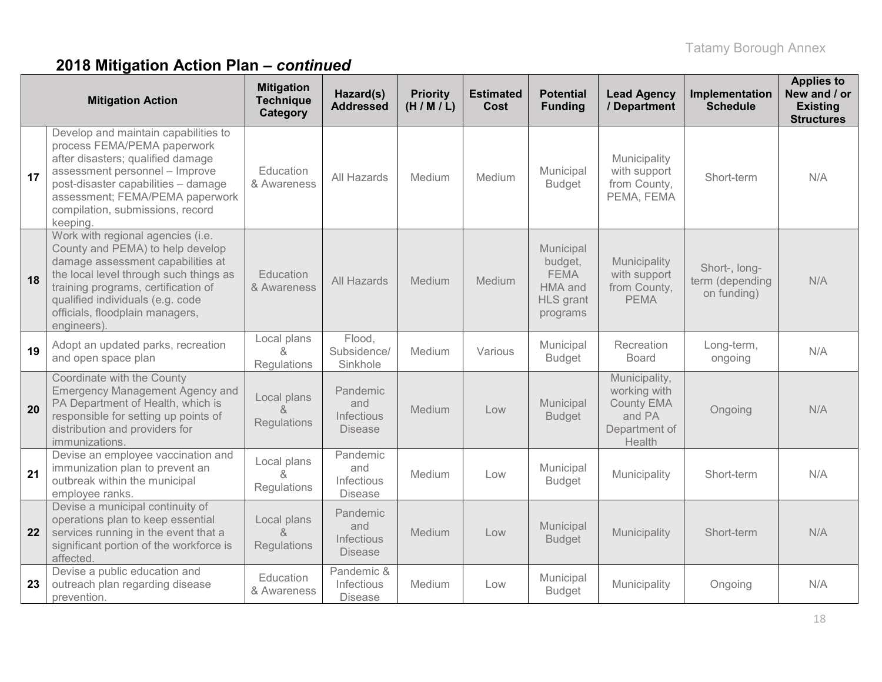|    | <b>Mitigation Action</b>                                                                                                                                                                                                                                                          | <b>Mitigation</b><br><b>Technique</b><br>Category | Hazard(s)<br><b>Addressed</b>                   | <b>Priority</b><br>(H/M/L) | <b>Estimated</b><br><b>Cost</b> | <b>Potential</b><br><b>Funding</b>                                             | <b>Lead Agency</b><br>/ Department                                                      | Implementation<br><b>Schedule</b>               | <b>Applies to</b><br>New and / or<br><b>Existing</b><br><b>Structures</b> |
|----|-----------------------------------------------------------------------------------------------------------------------------------------------------------------------------------------------------------------------------------------------------------------------------------|---------------------------------------------------|-------------------------------------------------|----------------------------|---------------------------------|--------------------------------------------------------------------------------|-----------------------------------------------------------------------------------------|-------------------------------------------------|---------------------------------------------------------------------------|
| 17 | Develop and maintain capabilities to<br>process FEMA/PEMA paperwork<br>after disasters; qualified damage<br>assessment personnel - Improve<br>post-disaster capabilities - damage<br>assessment; FEMA/PEMA paperwork<br>compilation, submissions, record<br>keeping.              | Education<br>& Awareness                          | All Hazards                                     | Medium                     | Medium                          | Municipal<br><b>Budget</b>                                                     | Municipality<br>with support<br>from County,<br>PEMA, FEMA                              | Short-term                                      | N/A                                                                       |
| 18 | Work with regional agencies (i.e.<br>County and PEMA) to help develop<br>damage assessment capabilities at<br>the local level through such things as<br>training programs, certification of<br>qualified individuals (e.g. code<br>officials, floodplain managers,<br>engineers). | Education<br>& Awareness                          | All Hazards                                     | Medium                     | Medium                          | Municipal<br>budget,<br><b>FEMA</b><br>HMA and<br><b>HLS</b> grant<br>programs | Municipality<br>with support<br>from County,<br><b>PEMA</b>                             | Short-, long-<br>term (depending<br>on funding) | N/A                                                                       |
| 19 | Adopt an updated parks, recreation<br>and open space plan                                                                                                                                                                                                                         | Local plans<br>&<br>Regulations                   | Flood,<br>Subsidence/<br>Sinkhole               | Medium                     | Various                         | Municipal<br><b>Budget</b>                                                     | Recreation<br><b>Board</b>                                                              | Long-term,<br>ongoing                           | N/A                                                                       |
| 20 | Coordinate with the County<br><b>Emergency Management Agency and</b><br>PA Department of Health, which is<br>responsible for setting up points of<br>distribution and providers for<br>immunizations.                                                                             | Local plans<br>Regulations                        | Pandemic<br>and<br>Infectious<br><b>Disease</b> | Medium                     | Low                             | Municipal<br><b>Budget</b>                                                     | Municipality,<br>working with<br><b>County EMA</b><br>and PA<br>Department of<br>Health | Ongoing                                         | N/A                                                                       |
| 21 | Devise an employee vaccination and<br>immunization plan to prevent an<br>outbreak within the municipal<br>employee ranks.                                                                                                                                                         | Local plans<br>8<br><b>Regulations</b>            | Pandemic<br>and<br>Infectious<br><b>Disease</b> | Medium                     | Low                             | Municipal<br><b>Budget</b>                                                     | Municipality                                                                            | Short-term                                      | N/A                                                                       |
| 22 | Devise a municipal continuity of<br>operations plan to keep essential<br>services running in the event that a<br>significant portion of the workforce is<br>affected.                                                                                                             | Local plans<br>&<br>Regulations                   | Pandemic<br>and<br>Infectious<br><b>Disease</b> | Medium                     | Low                             | Municipal<br><b>Budget</b>                                                     | Municipality                                                                            | Short-term                                      | N/A                                                                       |
| 23 | Devise a public education and<br>outreach plan regarding disease<br>prevention.                                                                                                                                                                                                   | Education<br>& Awareness                          | Pandemic &<br>Infectious<br><b>Disease</b>      | Medium                     | Low                             | Municipal<br><b>Budget</b>                                                     | Municipality                                                                            | Ongoing                                         | N/A                                                                       |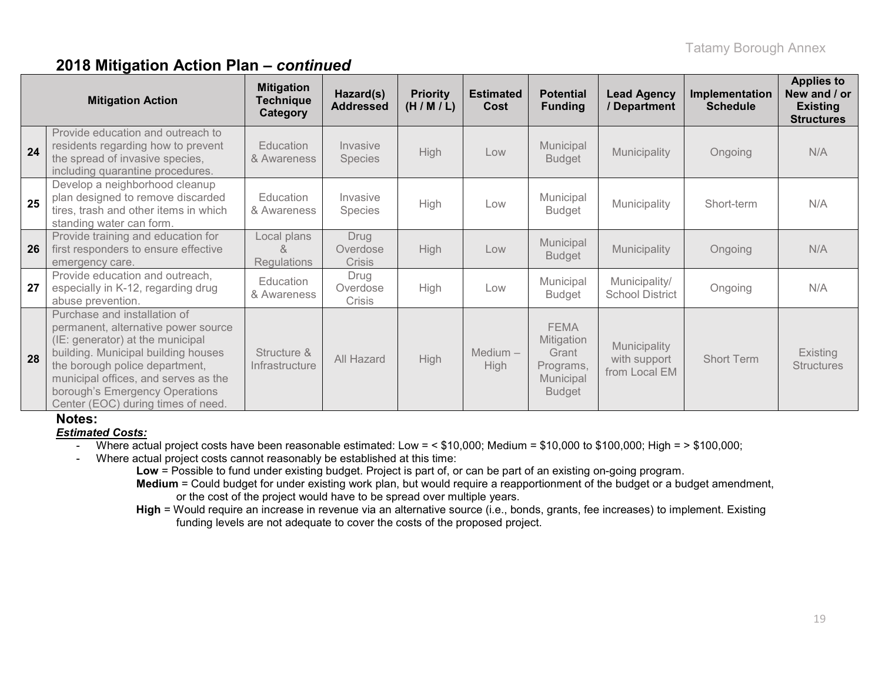| <b>Mitigation Action</b> |                                                                                                                                                                                                                                                                                                  | <b>Mitigation</b><br><b>Technique</b><br>Category | Hazard(s)<br><b>Addressed</b>     | <b>Priority</b><br>(H/M/L) | <b>Estimated</b><br>Cost | <b>Potential</b><br><b>Funding</b>                                            | <b>Lead Agency</b><br>/ Department            | Implementation<br><b>Schedule</b> | <b>Applies to</b><br>New and / or<br><b>Existing</b><br><b>Structures</b> |
|--------------------------|--------------------------------------------------------------------------------------------------------------------------------------------------------------------------------------------------------------------------------------------------------------------------------------------------|---------------------------------------------------|-----------------------------------|----------------------------|--------------------------|-------------------------------------------------------------------------------|-----------------------------------------------|-----------------------------------|---------------------------------------------------------------------------|
| 24                       | Provide education and outreach to<br>residents regarding how to prevent<br>the spread of invasive species,<br>including quarantine procedures.                                                                                                                                                   | Education<br>& Awareness                          | Invasive<br><b>Species</b>        | <b>High</b>                | Low                      | Municipal<br><b>Budget</b>                                                    | Municipality                                  | Ongoing                           | N/A                                                                       |
| 25                       | Develop a neighborhood cleanup<br>plan designed to remove discarded<br>tires, trash and other items in which<br>standing water can form.                                                                                                                                                         | Education<br>& Awareness                          | Invasive<br>Species               | High                       | Low                      | Municipal<br><b>Budget</b>                                                    | Municipality                                  | Short-term                        | N/A                                                                       |
| 26                       | Provide training and education for<br>first responders to ensure effective<br>emergency care.                                                                                                                                                                                                    | Local plans<br>ጼ<br>Regulations                   | Drug<br>Overdose<br><b>Crisis</b> | High                       | Low                      | Municipal<br><b>Budget</b>                                                    | Municipality                                  | Ongoing                           | N/A                                                                       |
| 27                       | Provide education and outreach,<br>especially in K-12, regarding drug<br>abuse prevention.                                                                                                                                                                                                       | Education<br>& Awareness                          | Drug<br>Overdose<br>Crisis        | High                       | Low                      | Municipal<br>Budget                                                           | Municipality/<br><b>School District</b>       | Ongoing                           | N/A                                                                       |
| 28                       | Purchase and installation of<br>permanent, alternative power source<br>(IE: generator) at the municipal<br>building. Municipal building houses<br>the borough police department,<br>municipal offices, and serves as the<br>borough's Emergency Operations<br>Center (EOC) during times of need. | Structure &<br>Infrastructure                     | All Hazard                        | High                       | $Median -$<br>High       | <b>FEMA</b><br>Mitigation<br>Grant<br>Programs,<br>Municipal<br><b>Budget</b> | Municipality<br>with support<br>from Local EM | <b>Short Term</b>                 | Existing<br><b>Structures</b>                                             |

### **Notes:**

*Estimated Costs:*

- Where actual project costs have been reasonable estimated: Low = < \$10,000; Medium = \$10,000 to \$100,000; High = > \$100,000;
- Where actual project costs cannot reasonably be established at this time:

**Low** = Possible to fund under existing budget. Project is part of, or can be part of an existing on-going program.

**Medium** = Could budget for under existing work plan, but would require a reapportionment of the budget or a budget amendment, or the cost of the project would have to be spread over multiple years.

**High** = Would require an increase in revenue via an alternative source (i.e., bonds, grants, fee increases) to implement. Existing funding levels are not adequate to cover the costs of the proposed project.